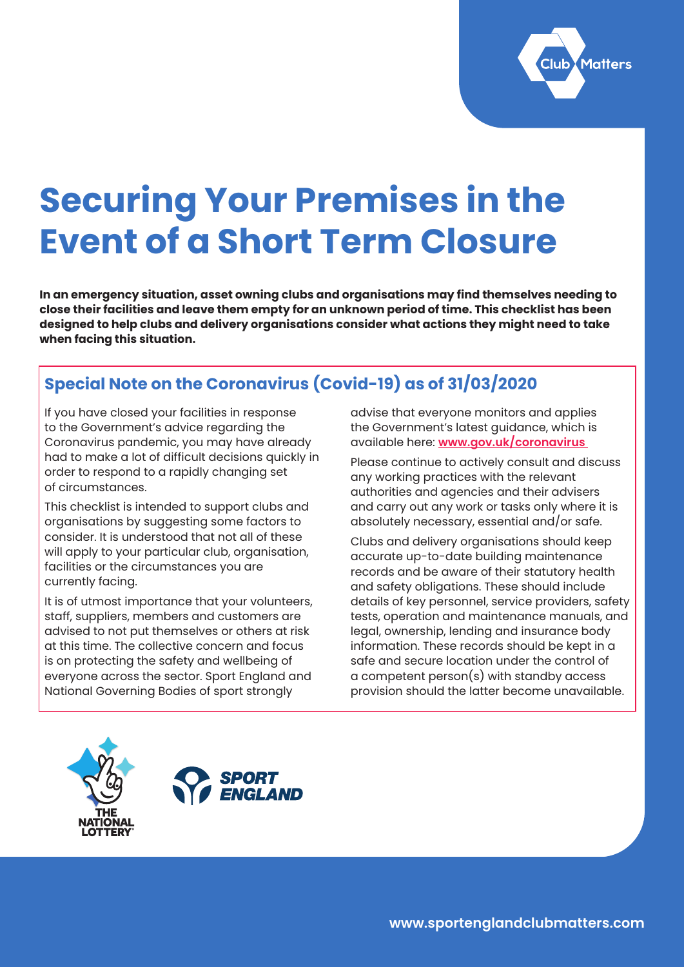

# **Securing Your Premises in the Event of a Short Term Closure**

**In an emergency situation, asset owning clubs and organisations may find themselves needing to close their facilities and leave them empty for an unknown period of time. This checklist has been designed to help clubs and delivery organisations consider what actions they might need to take when facing this situation.**

# **Special Note on the Coronavirus (Covid-19) as of 31/03/2020**

If you have closed your facilities in response to the Government's advice regarding the Coronavirus pandemic, you may have already had to make a lot of difficult decisions quickly in order to respond to a rapidly changing set of circumstances.

This checklist is intended to support clubs and organisations by suggesting some factors to consider. It is understood that not all of these will apply to your particular club, organisation, facilities or the circumstances you are currently facing.

It is of utmost importance that your volunteers, staff, suppliers, members and customers are advised to not put themselves or others at risk at this time. The collective concern and focus is on protecting the safety and wellbeing of everyone across the sector. Sport England and National Governing Bodies of sport strongly

advise that everyone monitors and applies the Government's latest guidance, which is available here: **[www.gov.uk/coronavirus](https://www.gov.uk/coronavirus)** 

Please continue to actively consult and discuss any working practices with the relevant authorities and agencies and their advisers and carry out any work or tasks only where it is absolutely necessary, essential and/or safe.

Clubs and delivery organisations should keep accurate up-to-date building maintenance records and be aware of their statutory health and safety obligations. These should include details of key personnel, service providers, safety tests, operation and maintenance manuals, and legal, ownership, lending and insurance body information. These records should be kept in a safe and secure location under the control of a competent person(s) with standby access provision should the latter become unavailable.



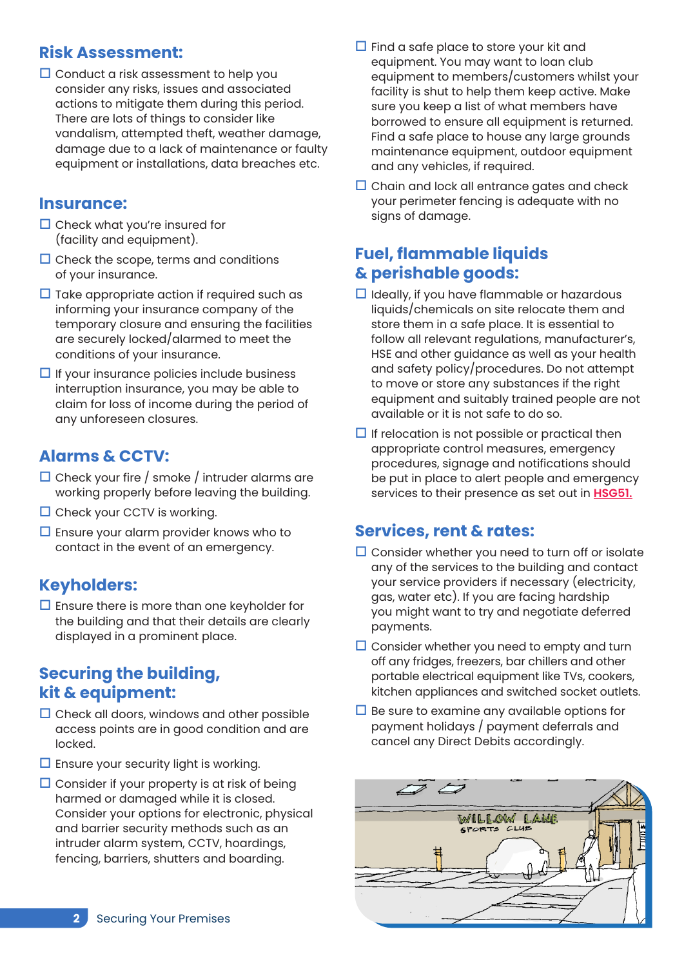#### **Risk Assessment:**

 $\square$  Conduct a risk assessment to help you consider any risks, issues and associated actions to mitigate them during this period. There are lots of things to consider like vandalism, attempted theft, weather damage, damage due to a lack of maintenance or faulty equipment or installations, data breaches etc.

#### **Insurance:**

- $\square$  Check what you're insured for (facility and equipment).
- $\Box$  Check the scope, terms and conditions of your insurance.
- $\Box$  Take appropriate action if required such as informing your insurance company of the temporary closure and ensuring the facilities are securely locked/alarmed to meet the conditions of your insurance.
- $\Box$  If your insurance policies include business interruption insurance, you may be able to claim for loss of income during the period of any unforeseen closures.

#### **Alarms & CCTV:**

- $\Box$  Check your fire / smoke / intruder alarms are working properly before leaving the building.
- $\square$  Check your CCTV is working.
- $\square$  Ensure your alarm provider knows who to contact in the event of an emergency.

#### **Keyholders:**

 $\square$  Ensure there is more than one keyholder for the building and that their details are clearly displayed in a prominent place.

#### **Securing the building, kit & equipment:**

- $\square$  Check all doors, windows and other possible access points are in good condition and are locked.
- $\square$  Ensure your security light is working.
- $\square$  Consider if your property is at risk of being harmed or damaged while it is closed. Consider your options for electronic, physical and barrier security methods such as an intruder alarm system, CCTV, hoardings, fencing, barriers, shutters and boarding.
- $\Box$  Find a safe place to store your kit and equipment. You may want to loan club equipment to members/customers whilst your facility is shut to help them keep active. Make sure you keep a list of what members have borrowed to ensure all equipment is returned. Find a safe place to house any large grounds maintenance equipment, outdoor equipment and any vehicles, if required.
- $\Box$  Chain and lock all entrance gates and check your perimeter fencing is adequate with no signs of damage.

#### **Fuel, flammable liquids & perishable goods:**

- $\Box$  Ideally, if you have flammable or hazardous liquids/chemicals on site relocate them and store them in a safe place. It is essential to follow all relevant regulations, manufacturer's, HSE and other guidance as well as your health and safety policy/procedures. Do not attempt to move or store any substances if the right equipment and suitably trained people are not available or it is not safe to do so.
- $\Box$  If relocation is not possible or practical then appropriate control measures, emergency procedures, signage and notifications should be put in place to alert people and emergency services to their presence as set out in **[HSG51.](https://www.hse.gov.uk/pubns/priced/hsg51.pdf)**

#### **Services, rent & rates:**

- $\Box$  Consider whether you need to turn off or isolate any of the services to the building and contact your service providers if necessary (electricity, gas, water etc). If you are facing hardship you might want to try and negotiate deferred payments.
- $\Box$  Consider whether you need to empty and turn off any fridges, freezers, bar chillers and other portable electrical equipment like TVs, cookers, kitchen appliances and switched socket outlets.
- $\Box$  Be sure to examine any available options for payment holidays / payment deferrals and cancel any Direct Debits accordingly.

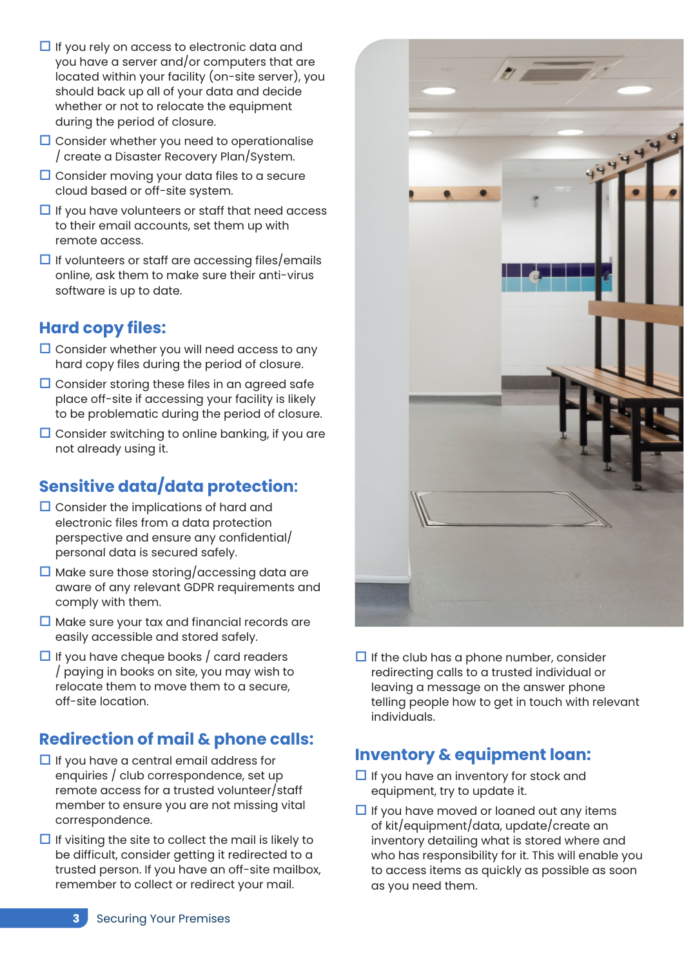- $\Box$  If you rely on access to electronic data and you have a server and/or computers that are located within your facility (on-site server), you should back up all of your data and decide whether or not to relocate the equipment during the period of closure.
- $\square$  Consider whether you need to operationalise / create a Disaster Recovery Plan/System.
- $\Box$  Consider moving your data files to a secure cloud based or off-site system.
- $\Box$  If you have volunteers or staff that need access to their email accounts, set them up with remote access.
- $\Box$  If volunteers or staff are accessing files/emails online, ask them to make sure their anti-virus software is up to date.

#### **Hard copy files:**

- $\square$  Consider whether you will need access to any hard copy files during the period of closure.
- $\Box$  Consider storing these files in an agreed safe place off-site if accessing your facility is likely to be problematic during the period of closure.
- $\square$  Consider switching to online banking, if you are not already using it.

# **Sensitive data/data protection:**

- $\square$  Consider the implications of hard and electronic files from a data protection perspective and ensure any confidential/ personal data is secured safely.
- $\square$  Make sure those storing/accessing data are aware of any relevant GDPR requirements and comply with them.
- $\Box$  Make sure your tax and financial records are easily accessible and stored safely.
- $\Box$  If you have cheque books / card readers / paying in books on site, you may wish to relocate them to move them to a secure, off-site location.

## **Redirection of mail & phone calls:**

- $\Box$  If you have a central email address for enquiries / club correspondence, set up remote access for a trusted volunteer/staff member to ensure you are not missing vital correspondence.
- $\Box$  If visiting the site to collect the mail is likely to be difficult, consider getting it redirected to a trusted person. If you have an off-site mailbox, remember to collect or redirect your mail.



 $\Box$  If the club has a phone number, consider redirecting calls to a trusted individual or leaving a message on the answer phone telling people how to get in touch with relevant individuals.

#### **Inventory & equipment loan:**

- $\Box$  If you have an inventory for stock and equipment, try to update it.
- $\Box$  If you have moved or loaned out any items of kit/equipment/data, update/create an inventory detailing what is stored where and who has responsibility for it. This will enable you to access items as quickly as possible as soon as you need them.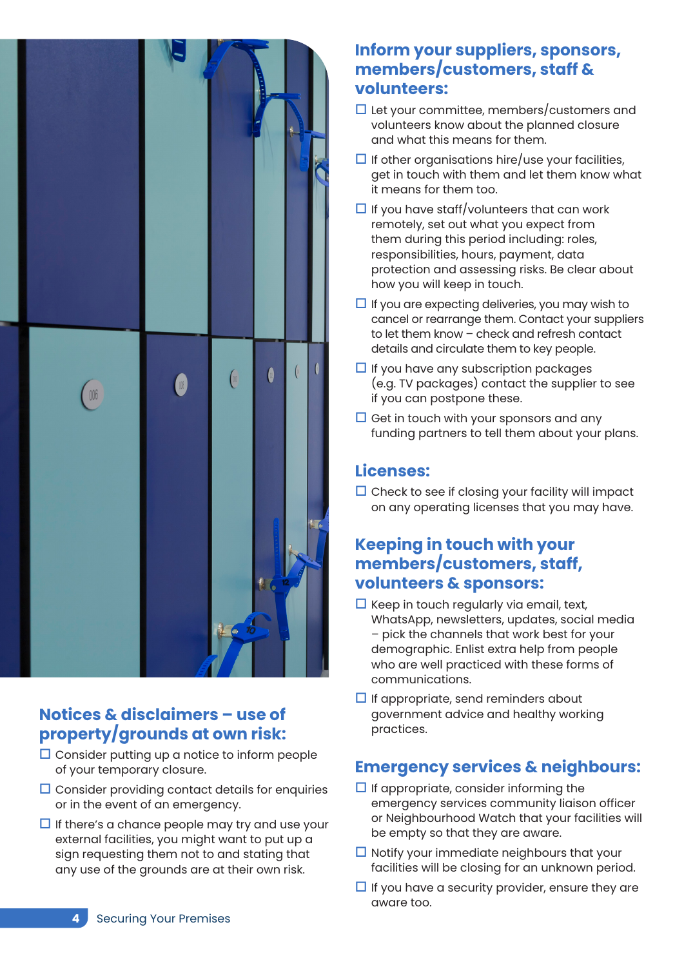

## **Notices & disclaimers – use of property/grounds at own risk:**

- $\square$  Consider putting up a notice to inform people of your temporary closure.
- $\square$  Consider providing contact details for enquiries or in the event of an emergency.
- $\Box$  If there's a chance people may try and use your external facilities, you might want to put up a sign requesting them not to and stating that any use of the grounds are at their own risk.

## **Inform your suppliers, sponsors, members/customers, staff & volunteers:**

- $\Box$  Let your committee, members/customers and volunteers know about the planned closure and what this means for them.
- $\Box$  If other organisations hire/use your facilities, get in touch with them and let them know what it means for them too.
- $\Box$  If you have staff/volunteers that can work remotely, set out what you expect from them during this period including: roles, responsibilities, hours, payment, data protection and assessing risks. Be clear about how you will keep in touch.
- $\Box$  If you are expecting deliveries, you may wish to cancel or rearrange them. Contact your suppliers to let them know – check and refresh contact details and circulate them to key people.
- $\Box$  If you have any subscription packages (e.g. TV packages) contact the supplier to see if you can postpone these.
- $\Box$  Get in touch with your sponsors and any funding partners to tell them about your plans.

## **Licenses:**

 $\square$  Check to see if closing your facility will impact on any operating licenses that you may have.

#### **Keeping in touch with your members/customers, staff, volunteers & sponsors:**

- $\Box$  Keep in touch regularly via email, text, WhatsApp, newsletters, updates, social media – pick the channels that work best for your demographic. Enlist extra help from people who are well practiced with these forms of communications.
- $\Box$  If appropriate, send reminders about government advice and healthy working practices.

# **Emergency services & neighbours:**

- $\Box$  If appropriate, consider informing the emergency services community liaison officer or Neighbourhood Watch that your facilities will be empty so that they are aware.
- $\Box$  Notify your immediate neighbours that your facilities will be closing for an unknown period.
- $\Box$  If you have a security provider, ensure they are aware too.